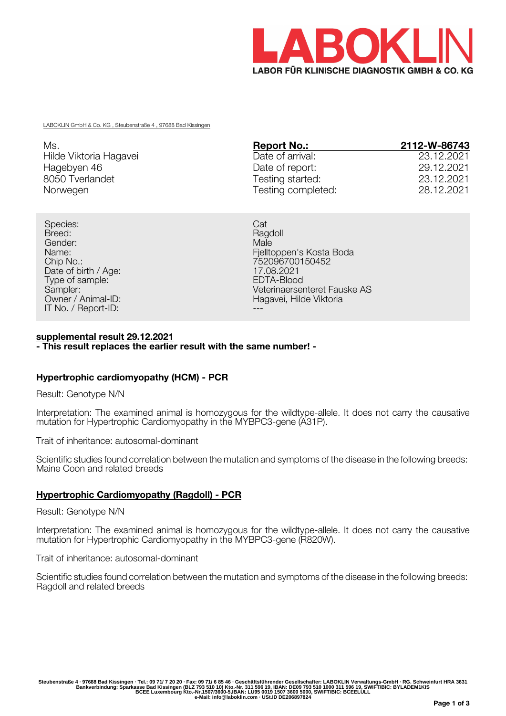

LABOKLIN GmbH & Co. KG , Steubenstraße 4 , 97688 Bad Kissingen

| Ms.                    | <b>Report No.:</b> | 2112-W-86743 |
|------------------------|--------------------|--------------|
| Hilde Viktoria Hagavei | Date of arrival:   | 23.12.2021   |
| Hagebyen 46            | Date of report:    | 29.12.2021   |
| 8050 Tverlandet        | Testing started:   | 23.12.2021   |
| Norwegen               | Testing completed: | 28.12.2021   |

Species: Catalogue Catalogue Catalogue Catalogue Catalogue Catalogue Catalogue Catalogue Catalogue Catalogue Breed: Ragdoll **Breed:** Ragdoll **Breed:** Ragdoll **Breed:** Ragdoll **Ragdoll** Gender: Male Date of birth / Age: 17.08.2021<br>
Type of sample: 17.08.2021<br>
EDTA-Blood Type of sample:<br>Sampler: IT No. / Report-ID:  $\blacksquare$ 

Name: Fjelltoppen's Kosta Boda 752096700150452<br>17.08.2021 Sampler:<br>
Owner / Animal-ID:<br>
Owner / Animal-ID:<br>
Compared AS Hagavei, Hilde Viktoria Hagavei, Hilde Viktoria

#### **supplemental result 29.12.2021 - This result replaces the earlier result with the same number! -**

# **Hypertrophic cardiomyopathy (HCM) - PCR**

Result: Genotype N/N

Interpretation: The examined animal is homozygous for the wildtype-allele. It does not carry the causative mutation for Hypertrophic Cardiomyopathy in the MYBPC3-gene (A31P).

Trait of inheritance: autosomal-dominant

Scientific studies found correlation between the mutation and symptoms of the disease in the following breeds: Maine Coon and related breeds

# **Hypertrophic Cardiomyopathy (Ragdoll) - PCR**

Result: Genotype N/N

Interpretation: The examined animal is homozygous for the wildtype-allele. It does not carry the causative mutation for Hypertrophic Cardiomyopathy in the MYBPC3-gene (R820W).

Trait of inheritance: autosomal-dominant

Scientific studies found correlation between the mutation and symptoms of the disease in the following breeds: Ragdoll and related breeds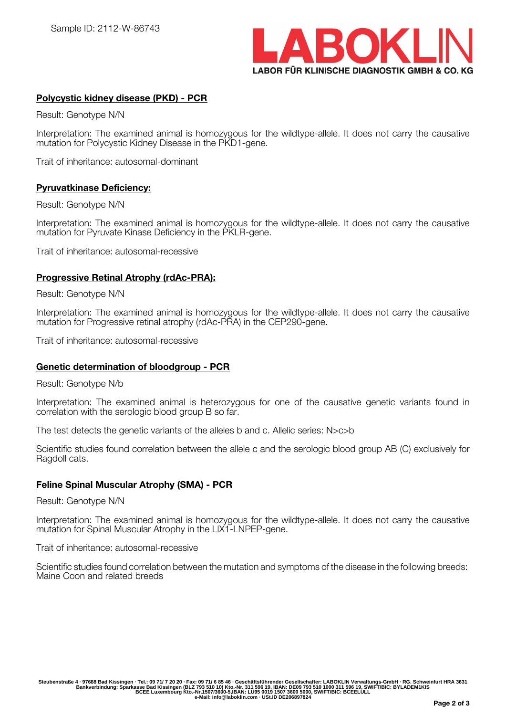

# **Polycystic kidney disease (PKD) - PCR**

Result: Genotype N/N

Interpretation: The examined animal is homozygous for the wildtype-allele. It does not carry the causative mutation for Polycystic Kidney Disease in the PKD1-gene.

Trait of inheritance: autosomal-dominant

## **Pyruvatkinase Deficiency:**

Result: Genotype N/N

Interpretation: The examined animal is homozygous for the wildtype-allele. It does not carry the causative mutation for Pyruvate Kinase Deficiency in the PKLR-gene.

Trait of inheritance: autosomal-recessive

## **Progressive Retinal Atrophy (rdAc-PRA):**

Result: Genotype N/N

Interpretation: The examined animal is homozygous for the wildtype-allele. It does not carry the causative mutation for Progressive retinal atrophy (rdAc-PRA) in the CEP290-gene.

Trait of inheritance: autosomal-recessive

#### **Genetic determination of bloodgroup - PCR**

Result: Genotype N/b

Interpretation: The examined animal is heterozygous for one of the causative genetic variants found in correlation with the serologic blood group B so far.

The test detects the genetic variants of the alleles b and c. Allelic series: N>c>b

Scientific studies found correlation between the allele c and the serologic blood group AB (C) exclusively for Ragdoll cats.

## **Feline Spinal Muscular Atrophy (SMA) - PCR**

Result: Genotype N/N

Interpretation: The examined animal is homozygous for the wildtype-allele. It does not carry the causative mutation for Spinal Muscular Atrophy in the LIX1-LNPEP-gene.

Trait of inheritance: autosomal-recessive

Scientific studies found correlation between the mutation and symptoms of the disease in the following breeds: Maine Coon and related breeds